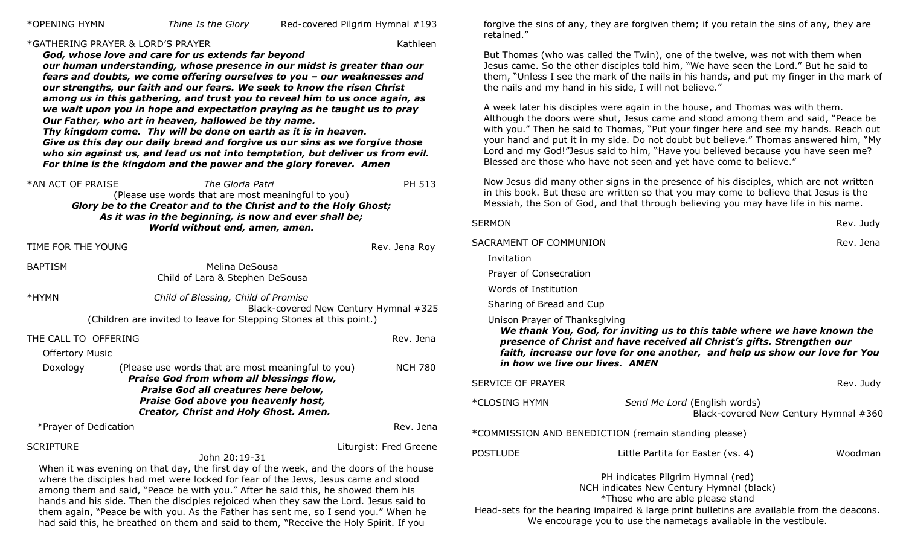| *OPENING HYMN                                                                                                                                                                                                                                                        | Thine Is the Glory                                                                                                                                                                                                                                                                                                                                                                                                                                                                                                                                                                                                                                                                                                                                                                                                                                         | Red-covered Pilgrim Hymnal #193       |                                                      | retained."                                                                                                                                                                                                                                                            | forgive the sins of any, they are forgiven them; if you retain the sins of any, they are                                                                                                                                                                                                                                                                                                                                                                                                                                                                                                                                                                                                                                                                                                                                                       |           |
|----------------------------------------------------------------------------------------------------------------------------------------------------------------------------------------------------------------------------------------------------------------------|------------------------------------------------------------------------------------------------------------------------------------------------------------------------------------------------------------------------------------------------------------------------------------------------------------------------------------------------------------------------------------------------------------------------------------------------------------------------------------------------------------------------------------------------------------------------------------------------------------------------------------------------------------------------------------------------------------------------------------------------------------------------------------------------------------------------------------------------------------|---------------------------------------|------------------------------------------------------|-----------------------------------------------------------------------------------------------------------------------------------------------------------------------------------------------------------------------------------------------------------------------|------------------------------------------------------------------------------------------------------------------------------------------------------------------------------------------------------------------------------------------------------------------------------------------------------------------------------------------------------------------------------------------------------------------------------------------------------------------------------------------------------------------------------------------------------------------------------------------------------------------------------------------------------------------------------------------------------------------------------------------------------------------------------------------------------------------------------------------------|-----------|
|                                                                                                                                                                                                                                                                      | *GATHERING PRAYER & LORD'S PRAYER<br>God, whose love and care for us extends far beyond<br>our human understanding, whose presence in our midst is greater than our<br>fears and doubts, we come offering ourselves to you - our weaknesses and<br>our strengths, our faith and our fears. We seek to know the risen Christ<br>among us in this gathering, and trust you to reveal him to us once again, as<br>we wait upon you in hope and expectation praying as he taught us to pray<br>Our Father, who art in heaven, hallowed be thy name.<br>Thy kingdom come. Thy will be done on earth as it is in heaven.<br>Give us this day our daily bread and forgive us our sins as we forgive those<br>who sin against us, and lead us not into temptation, but deliver us from evil.<br>For thine is the kingdom and the power and the glory forever. Amen |                                       | Kathleen                                             |                                                                                                                                                                                                                                                                       | But Thomas (who was called the Twin), one of the twelve, was not with them when<br>Jesus came. So the other disciples told him, "We have seen the Lord." But he said to<br>them, "Unless I see the mark of the nails in his hands, and put my finger in the mark of<br>the nails and my hand in his side, I will not believe."<br>A week later his disciples were again in the house, and Thomas was with them.<br>Although the doors were shut, Jesus came and stood among them and said, "Peace be<br>with you." Then he said to Thomas, "Put your finger here and see my hands. Reach out<br>your hand and put it in my side. Do not doubt but believe." Thomas answered him, "My<br>Lord and my God!"Jesus said to him, "Have you believed because you have seen me?<br>Blessed are those who have not seen and yet have come to believe." |           |
| PH 513<br>*AN ACT OF PRAISE<br>The Gloria Patri<br>(Please use words that are most meaningful to you)<br>Glory be to the Creator and to the Christ and to the Holy Ghost;<br>As it was in the beginning, is now and ever shall be;<br>World without end, amen, amen. |                                                                                                                                                                                                                                                                                                                                                                                                                                                                                                                                                                                                                                                                                                                                                                                                                                                            |                                       |                                                      | Now Jesus did many other signs in the presence of his disciples, which are not written<br>in this book. But these are written so that you may come to believe that Jesus is the<br>Messiah, the Son of God, and that through believing you may have life in his name. |                                                                                                                                                                                                                                                                                                                                                                                                                                                                                                                                                                                                                                                                                                                                                                                                                                                |           |
|                                                                                                                                                                                                                                                                      |                                                                                                                                                                                                                                                                                                                                                                                                                                                                                                                                                                                                                                                                                                                                                                                                                                                            |                                       |                                                      | <b>SERMON</b>                                                                                                                                                                                                                                                         |                                                                                                                                                                                                                                                                                                                                                                                                                                                                                                                                                                                                                                                                                                                                                                                                                                                | Rev. Judy |
| TIME FOR THE YOUNG                                                                                                                                                                                                                                                   |                                                                                                                                                                                                                                                                                                                                                                                                                                                                                                                                                                                                                                                                                                                                                                                                                                                            | Rev. Jena Roy                         | SACRAMENT OF COMMUNION                               |                                                                                                                                                                                                                                                                       | Rev. Jena                                                                                                                                                                                                                                                                                                                                                                                                                                                                                                                                                                                                                                                                                                                                                                                                                                      |           |
| <b>BAPTISM</b>                                                                                                                                                                                                                                                       | Melina DeSousa<br>Child of Lara & Stephen DeSousa                                                                                                                                                                                                                                                                                                                                                                                                                                                                                                                                                                                                                                                                                                                                                                                                          |                                       |                                                      | Invitation<br>Prayer of Consecration                                                                                                                                                                                                                                  |                                                                                                                                                                                                                                                                                                                                                                                                                                                                                                                                                                                                                                                                                                                                                                                                                                                |           |
| *HYMN                                                                                                                                                                                                                                                                | Child of Blessing, Child of Promise                                                                                                                                                                                                                                                                                                                                                                                                                                                                                                                                                                                                                                                                                                                                                                                                                        | Black-covered New Century Hymnal #325 |                                                      | Words of Institution<br>Sharing of Bread and Cup                                                                                                                                                                                                                      |                                                                                                                                                                                                                                                                                                                                                                                                                                                                                                                                                                                                                                                                                                                                                                                                                                                |           |
|                                                                                                                                                                                                                                                                      | (Children are invited to leave for Stepping Stones at this point.)                                                                                                                                                                                                                                                                                                                                                                                                                                                                                                                                                                                                                                                                                                                                                                                         |                                       |                                                      | Unison Prayer of Thanksgiving                                                                                                                                                                                                                                         | We thank You, God, for inviting us to this table where we have known the                                                                                                                                                                                                                                                                                                                                                                                                                                                                                                                                                                                                                                                                                                                                                                       |           |
| THE CALL TO OFFERING<br><b>Offertory Music</b>                                                                                                                                                                                                                       |                                                                                                                                                                                                                                                                                                                                                                                                                                                                                                                                                                                                                                                                                                                                                                                                                                                            |                                       | Rev. Jena                                            | presence of Christ and have received all Christ's gifts. Strengthen our<br>faith, increase our love for one another, and help us show our love for You<br>in how we live our lives. AMEN                                                                              |                                                                                                                                                                                                                                                                                                                                                                                                                                                                                                                                                                                                                                                                                                                                                                                                                                                |           |
| Doxology                                                                                                                                                                                                                                                             | (Please use words that are most meaningful to you)<br>Praise God from whom all blessings flow,<br>Praise God all creatures here below,                                                                                                                                                                                                                                                                                                                                                                                                                                                                                                                                                                                                                                                                                                                     |                                       | <b>NCH 780</b>                                       | <b>SERVICE OF PRAYER</b>                                                                                                                                                                                                                                              |                                                                                                                                                                                                                                                                                                                                                                                                                                                                                                                                                                                                                                                                                                                                                                                                                                                | Rev. Judy |
|                                                                                                                                                                                                                                                                      | Praise God above you heavenly host,<br>Creator, Christ and Holy Ghost. Amen.                                                                                                                                                                                                                                                                                                                                                                                                                                                                                                                                                                                                                                                                                                                                                                               |                                       |                                                      | *CLOSING HYMN                                                                                                                                                                                                                                                         | Send Me Lord (English words)<br>Black-covered New Century Hymnal #360                                                                                                                                                                                                                                                                                                                                                                                                                                                                                                                                                                                                                                                                                                                                                                          |           |
| *Prayer of Dedication<br>Rev. Jena                                                                                                                                                                                                                                   |                                                                                                                                                                                                                                                                                                                                                                                                                                                                                                                                                                                                                                                                                                                                                                                                                                                            |                                       | *COMMISSION AND BENEDICTION (remain standing please) |                                                                                                                                                                                                                                                                       |                                                                                                                                                                                                                                                                                                                                                                                                                                                                                                                                                                                                                                                                                                                                                                                                                                                |           |
| <b>SCRIPTURE</b>                                                                                                                                                                                                                                                     | John 20:19-31                                                                                                                                                                                                                                                                                                                                                                                                                                                                                                                                                                                                                                                                                                                                                                                                                                              |                                       | Liturgist: Fred Greene                               | <b>POSTLUDE</b>                                                                                                                                                                                                                                                       | Little Partita for Easter (vs. 4)                                                                                                                                                                                                                                                                                                                                                                                                                                                                                                                                                                                                                                                                                                                                                                                                              | Woodman   |
|                                                                                                                                                                                                                                                                      | When it was evening on that day, the first day of the week, and the doors of the house<br>where the disciples had met were locked for fear of the Jews, Jesus came and stood<br>among them and said, "Peace be with you." After he said this, he showed them his<br>hands and his side. Then the disciples rejoiced when they saw the Lord. Jesus said to<br>them again, "Peace be with you. As the Father has sent me, so I send you." When he<br>had said this, he breathed on them and said to them, "Receive the Holy Spirit. If you                                                                                                                                                                                                                                                                                                                   |                                       |                                                      |                                                                                                                                                                                                                                                                       | PH indicates Pilgrim Hymnal (red)<br>NCH indicates New Century Hymnal (black)<br>*Those who are able please stand<br>Head-sets for the hearing impaired & large print bulletins are available from the deacons.<br>We encourage you to use the nametags available in the vestibule.                                                                                                                                                                                                                                                                                                                                                                                                                                                                                                                                                            |           |

had said this, he breathed on them and said to them, "Receive the Holy Spirit. If you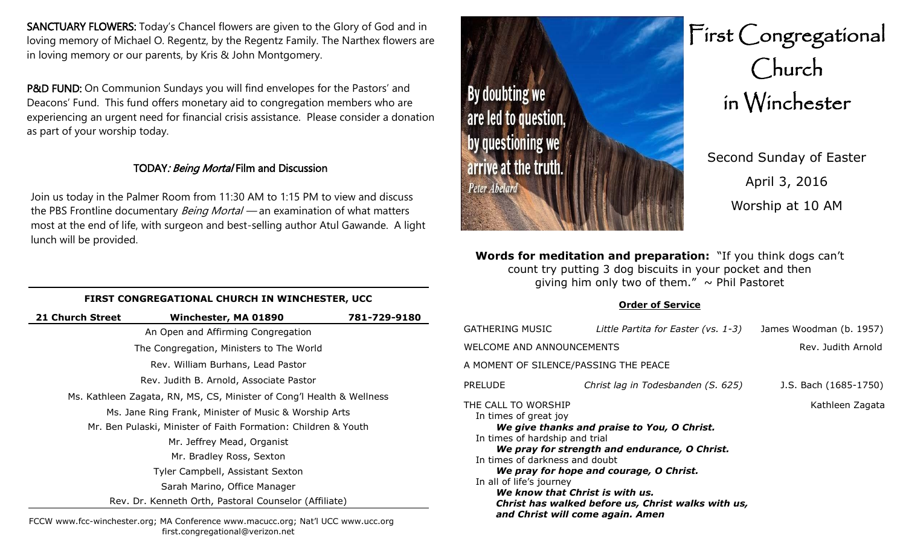SANCTUARY FLOWERS: Today's Chancel flowers are given to the Glory of God and in loving memory of Michael O. Regentz, by the Regentz Family. The Narthex flowers are in loving memory or our parents, by Kris & John Montgomery.

P&D FUND: On Communion Sundays you will find envelopes for the Pastors' and Deacons' Fund. This fund offers monetary aid to congregation members who are experiencing an urgent need for financial crisis assistance. Please consider a donation as part of your worship today.

## TODAY: Being Mortal Film and Discussion

Join us today in the Palmer Room from 11:30 AM to 1:15 PM to view and discuss the PBS Frontline documentary *Being Mortal* — an examination of what matters most at the end of life, with surgeon and best-selling author Atul Gawande. A light lunch will be provided.

## **FIRST CONGREGATIONAL CHURCH IN WINCHESTER, UCC**

| <b>21 Church Street</b> | Winchester, MA 01890                                                  | 781-729-9180 |
|-------------------------|-----------------------------------------------------------------------|--------------|
|                         | An Open and Affirming Congregation                                    |              |
|                         | The Congregation, Ministers to The World                              |              |
|                         | Rev. William Burhans, Lead Pastor                                     |              |
|                         | Rev. Judith B. Arnold, Associate Pastor                               |              |
|                         | Ms. Kathleen Zagata, RN, MS, CS, Minister of Cong'l Health & Wellness |              |
|                         | Ms. Jane Ring Frank, Minister of Music & Worship Arts                 |              |
|                         | Mr. Ben Pulaski, Minister of Faith Formation: Children & Youth        |              |
|                         | Mr. Jeffrey Mead, Organist                                            |              |
|                         | Mr. Bradley Ross, Sexton                                              |              |
|                         | Tyler Campbell, Assistant Sexton                                      |              |
|                         | Sarah Marino, Office Manager                                          |              |
|                         | Rev. Dr. Kenneth Orth, Pastoral Counselor (Affiliate)                 |              |

FCCW www.fcc-winchester.org; MA Conference www.macucc.org; Nat'l UCC www.ucc.org first.congregational@verizon.net



First Congregational Church in Winchester

Second Sunday of Easter April 3, 2016 Worship at 10 AM

**Words for meditation and preparation:** "If you think dogs can't count try putting 3 dog biscuits in your pocket and then giving him only two of them."  $\sim$  Phil Pastoret

#### **Order of Service**

| <b>GATHERING MUSIC</b>                                                                                                                                                                                                              | Little Partita for Easter (vs. 1-3) | James Woodman (b. 1957) |  |  |  |
|-------------------------------------------------------------------------------------------------------------------------------------------------------------------------------------------------------------------------------------|-------------------------------------|-------------------------|--|--|--|
| WELCOME AND ANNOUNCEMENTS                                                                                                                                                                                                           | Rev. Judith Arnold                  |                         |  |  |  |
| A MOMENT OF SILENCE/PASSING THE PEACE                                                                                                                                                                                               |                                     |                         |  |  |  |
| <b>PRELUDE</b>                                                                                                                                                                                                                      | Christ lag in Todesbanden (S. 625)  | J.S. Bach (1685-1750)   |  |  |  |
| THE CALL TO WORSHIP<br>Kathleen Zagata<br>In times of great joy<br>We give thanks and praise to You, O Christ.<br>In times of hardship and trial<br>We pray for strength and endurance, O Christ.<br>In times of darkness and doubt |                                     |                         |  |  |  |
| We pray for hope and courage, O Christ.<br>In all of life's journey                                                                                                                                                                 |                                     |                         |  |  |  |
| We know that Christ is with us.<br>Christ has walked before us, Christ walks with us,<br>and Christ will come again. Amen                                                                                                           |                                     |                         |  |  |  |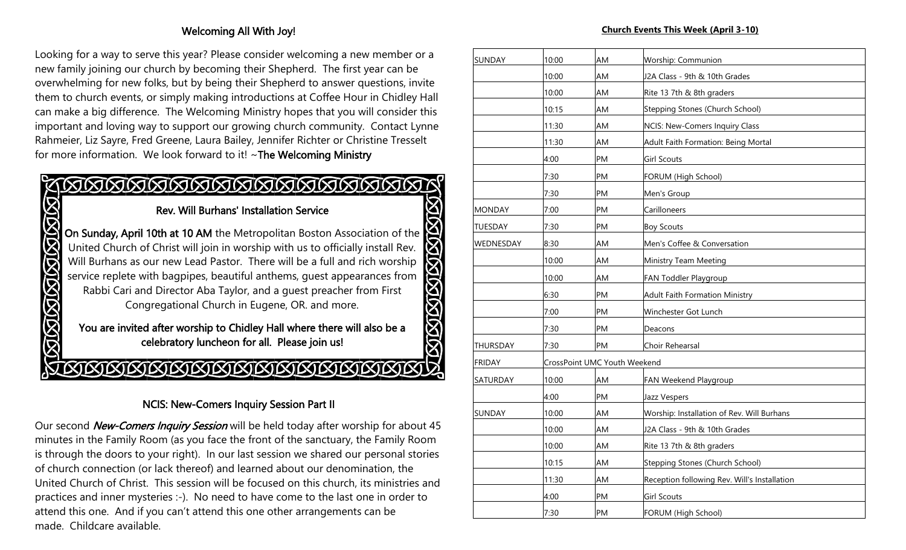Looking for a way to serve this year? Please consider welcoming a new member or a new family joining our church by becoming their Shepherd. The first year can be overwhelming for new folks, but by being their Shepherd to answer questions, invite them to church events, or simply making introductions at Coffee Hour in Chidley Hall can make a big difference. The Welcoming Ministry hopes that you will consider this important and loving way to support our growing church community. Contact Lynne Rahmeier, Liz Sayre, Fred Greene, Laura Bailey, Jennifer Richter or Christine Tresselt for more information. We look forward to it! ~The Welcoming Ministry

## <u>JULU LA LA LA LA LA</u> Rev. Will Burhans' Installation Service JAMAN On Sunday, April 10th at 10 AM the Metropolitan Boston Association of the United Church of Christ will join in worship with us to officially install Rev. Will Burhans as our new Lead Pastor. There will be a full and rich worship service replete with bagpipes, beautiful anthems, guest appearances from Rabbi Cari and Director Aba Taylor, and a guest preacher from First Congregational Church in Eugene, OR. and more. You are invited after worship to Chidley Hall where there will also be a celebratory luncheon for all. Please join us!

## NCIS: New-Comers Inquiry Session Part II

KTKTKTKTKTKTKTKTKTKTKTKTKTKTKT

Our second *New-Comers Inquiry Session* will be held today after worship for about 45 minutes in the Family Room (as you face the front of the sanctuary, the Family Room is through the doors to your right). In our last session we shared our personal stories of church connection (or lack thereof) and learned about our denomination, the United Church of Christ. This session will be focused on this church, its ministries and practices and inner mysteries :-). No need to have come to the last one in order to attend this one. And if you can't attend this one other arrangements can be made. Childcare available.

## Welcoming All With Joy! **Church Events This Week (April 3-10)**

| SUNDAY          | 10:00 | AM                           | Worship: Communion                           |  |
|-----------------|-------|------------------------------|----------------------------------------------|--|
|                 | 10:00 | AM                           | J2A Class - 9th & 10th Grades                |  |
|                 | 10:00 | AM                           | Rite 13 7th & 8th graders                    |  |
|                 | 10:15 | AM                           | Stepping Stones (Church School)              |  |
|                 | 11:30 | AM                           | NCIS: New-Comers Inquiry Class               |  |
|                 | 11:30 | AM                           | Adult Faith Formation: Being Mortal          |  |
|                 | 4:00  | PM                           | <b>Girl Scouts</b>                           |  |
|                 | 7:30  | PM                           | FORUM (High School)                          |  |
|                 | 7:30  | PM                           | Men's Group                                  |  |
| <b>MONDAY</b>   | 7:00  | PM                           | Carilloneers                                 |  |
| TUESDAY         | 7:30  | PM                           | <b>Boy Scouts</b>                            |  |
| WEDNESDAY       | 8:30  | AM                           | Men's Coffee & Conversation                  |  |
|                 | 10:00 | AM                           | Ministry Team Meeting                        |  |
|                 | 10:00 | AM                           | FAN Toddler Playgroup                        |  |
|                 | 6:30  | PM                           | <b>Adult Faith Formation Ministry</b>        |  |
|                 | 7:00  | PM                           | Winchester Got Lunch                         |  |
|                 | 7:30  | PM                           | Deacons                                      |  |
| THURSDAY        | 7:30  | PM                           | Choir Rehearsal                              |  |
| <b>FRIDAY</b>   |       | CrossPoint UMC Youth Weekend |                                              |  |
| <b>SATURDAY</b> | 10:00 | AM                           | FAN Weekend Playgroup                        |  |
|                 | 4:00  | PM                           | Jazz Vespers                                 |  |
| <b>SUNDAY</b>   | 10:00 | AM                           | Worship: Installation of Rev. Will Burhans   |  |
|                 | 10:00 | AM                           | J2A Class - 9th & 10th Grades                |  |
|                 | 10:00 | AM                           | Rite 13 7th & 8th graders                    |  |
|                 | 10:15 | AM                           | Stepping Stones (Church School)              |  |
|                 | 11:30 | AM                           | Reception following Rev. Will's Installation |  |
|                 | 4:00  | PM                           | <b>Girl Scouts</b>                           |  |
|                 | 7:30  | PM                           | FORUM (High School)                          |  |